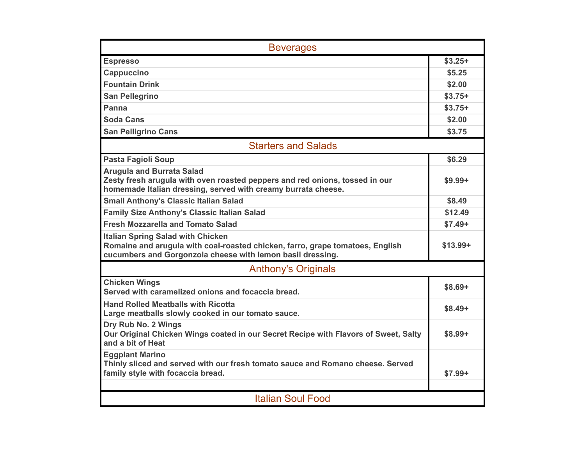| <b>Beverages</b>                                                                                                                                                                        |           |
|-----------------------------------------------------------------------------------------------------------------------------------------------------------------------------------------|-----------|
| <b>Espresso</b>                                                                                                                                                                         | $$3.25+$  |
| <b>Cappuccino</b>                                                                                                                                                                       | \$5.25    |
| <b>Fountain Drink</b>                                                                                                                                                                   | \$2.00    |
| <b>San Pellegrino</b>                                                                                                                                                                   | $$3.75+$  |
| Panna                                                                                                                                                                                   | $$3.75+$  |
| <b>Soda Cans</b>                                                                                                                                                                        | \$2.00    |
| <b>San Pelligrino Cans</b>                                                                                                                                                              | \$3.75    |
| <b>Starters and Salads</b>                                                                                                                                                              |           |
| <b>Pasta Fagioli Soup</b>                                                                                                                                                               | \$6.29    |
| <b>Arugula and Burrata Salad</b><br>Zesty fresh arugula with oven roasted peppers and red onions, tossed in our<br>homemade Italian dressing, served with creamy burrata cheese.        | $$9.99+$  |
| <b>Small Anthony's Classic Italian Salad</b>                                                                                                                                            | \$8.49    |
| <b>Family Size Anthony's Classic Italian Salad</b>                                                                                                                                      | \$12.49   |
| <b>Fresh Mozzarella and Tomato Salad</b>                                                                                                                                                | $$7.49+$  |
| <b>Italian Spring Salad with Chicken</b><br>Romaine and arugula with coal-roasted chicken, farro, grape tomatoes, English<br>cucumbers and Gorgonzola cheese with lemon basil dressing. | $$13.99+$ |
| <b>Anthony's Originals</b>                                                                                                                                                              |           |
| <b>Chicken Wings</b><br>Served with caramelized onions and focaccia bread.                                                                                                              | $$8.69+$  |
| <b>Hand Rolled Meatballs with Ricotta</b><br>Large meatballs slowly cooked in our tomato sauce.                                                                                         | $$8.49+$  |
| Dry Rub No. 2 Wings<br>Our Original Chicken Wings coated in our Secret Recipe with Flavors of Sweet, Salty<br>and a bit of Heat                                                         | $$8.99+$  |
| <b>Eggplant Marino</b><br>Thinly sliced and served with our fresh tomato sauce and Romano cheese. Served<br>family style with focaccia bread.                                           | $$7.99+$  |
|                                                                                                                                                                                         |           |
| <b>Italian Soul Food</b>                                                                                                                                                                |           |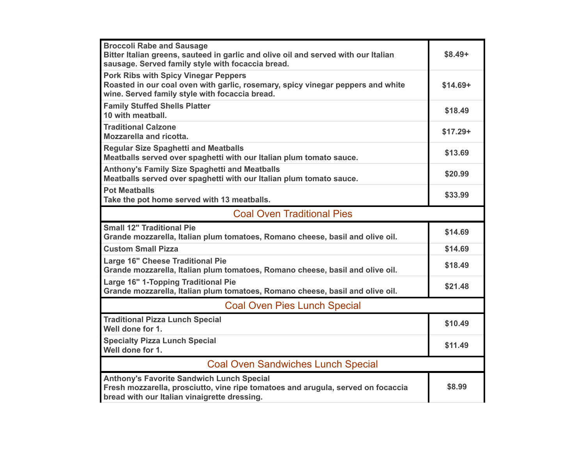| <b>Broccoli Rabe and Sausage</b><br>Bitter Italian greens, sauteed in garlic and olive oil and served with our Italian<br>sausage. Served family style with focaccia bread.      | $$8.49+$  |
|----------------------------------------------------------------------------------------------------------------------------------------------------------------------------------|-----------|
| <b>Pork Ribs with Spicy Vinegar Peppers</b><br>Roasted in our coal oven with garlic, rosemary, spicy vinegar peppers and white<br>wine. Served family style with focaccia bread. | $$14.69+$ |
| <b>Family Stuffed Shells Platter</b><br>10 with meatball.                                                                                                                        | \$18.49   |
| <b>Traditional Calzone</b><br><b>Mozzarella and ricotta.</b>                                                                                                                     | $$17.29+$ |
| <b>Regular Size Spaghetti and Meatballs</b><br>Meatballs served over spaghetti with our Italian plum tomato sauce.                                                               | \$13.69   |
| <b>Anthony's Family Size Spaghetti and Meatballs</b><br>Meatballs served over spaghetti with our Italian plum tomato sauce.                                                      | \$20.99   |
| <b>Pot Meatballs</b><br>Take the pot home served with 13 meatballs.                                                                                                              | \$33.99   |
| <b>Coal Oven Traditional Pies</b>                                                                                                                                                |           |
| <b>Small 12" Traditional Pie</b><br>Grande mozzarella, Italian plum tomatoes, Romano cheese, basil and olive oil.                                                                | \$14.69   |
| <b>Custom Small Pizza</b>                                                                                                                                                        | \$14.69   |
| Large 16" Cheese Traditional Pie<br>Grande mozzarella, Italian plum tomatoes, Romano cheese, basil and olive oil.                                                                | \$18.49   |
| Large 16" 1-Topping Traditional Pie                                                                                                                                              |           |
| Grande mozzarella, Italian plum tomatoes, Romano cheese, basil and olive oil.                                                                                                    | \$21.48   |
| <b>Coal Oven Pies Lunch Special</b>                                                                                                                                              |           |
| <b>Traditional Pizza Lunch Special</b><br>Well done for 1.                                                                                                                       | \$10.49   |
| <b>Specialty Pizza Lunch Special</b><br>Well done for 1.                                                                                                                         | \$11.49   |
| <b>Coal Oven Sandwiches Lunch Special</b>                                                                                                                                        |           |